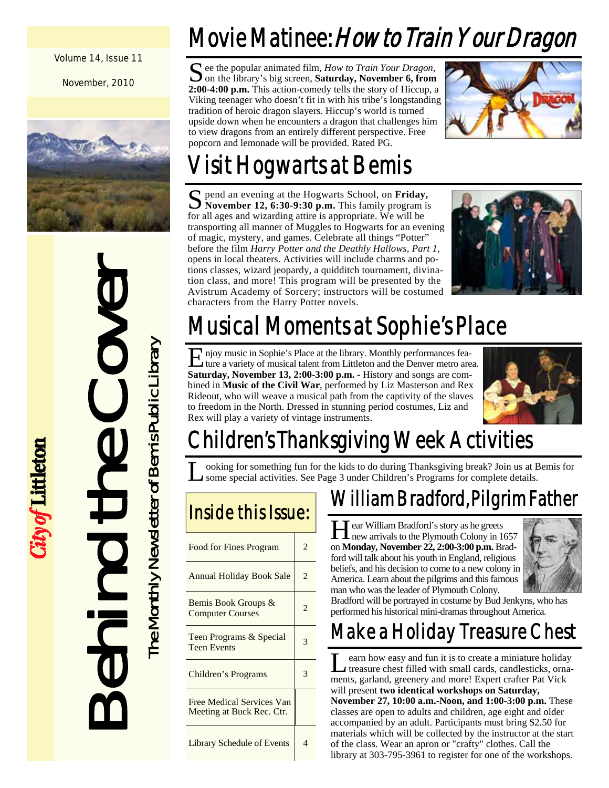#### Volume 14, Issue 11

November, 2010



# Behind the Cover The Monthly Newsletter of Bemis Public Library The Monthly Newsletter of Bemis Public Library

City of Littleton

Movie Matinee: How to Train Your Dragon

 $\sum$  ee the popular animated film, *How to Train Your Dragon*, on the library's big screen, **Saturday, November 6, from 2:00-4:00 p.m.** This action-comedy tells the story of Hiccup, a Viking teenager who doesn't fit in with his tribe's longstanding tradition of heroic dragon slayers. Hiccup's world is turned upside down when he encounters a dragon that challenges him to view dragons from an entirely different perspective. Free popcorn and lemonade will be provided. Rated PG.



# Visit Hogwarts at Bemis

S pend an evening at the Hogwarts School, on **Friday,** November 12, 6:30-9:30 p.m. This family program is for all ages and wizarding attire is appropriate. We will be transporting all manner of Muggles to Hogwarts for an evening of magic, mystery, and games. Celebrate all things "Potter" before the film *Harry Potter and the Deathly Hallows, Part 1,*  opens in local theaters. Activities will include charms and potions classes, wizard jeopardy, a quidditch tournament, divination class, and more! This program will be presented by the Avistrum Academy of Sorcery; instructors will be costumed characters from the Harry Potter novels.



# Musical Moments at Sophie's Place

E njoy music in Sophie's Place at the library. Monthly performances feature a variety of musical talent from Littleton and the Denver metro area. **Saturday, November 13, 2:00-3:00 p.m. -** History and songs are combined in **Music of the Civil War**, performed by Liz Masterson and Rex Rideout, who will weave a musical path from the captivity of the slaves to freedom in the North. Dressed in stunning period costumes, Liz and Rex will play a variety of vintage instruments.



# hildren's Thanksgiving Week Activities

L ooking for something fun for the kids to do during Thanksgiving break? Join us at Bemis for some special activities. See Page 3 under Children's Programs for complete details.

| Inside this Issue:                                     |                          |
|--------------------------------------------------------|--------------------------|
| Food for Fines Program                                 | $\mathfrak{D}$           |
| <b>Annual Holiday Book Sale</b>                        | $\mathcal{D}$            |
| Bemis Book Groups &<br><b>Computer Courses</b>         | $\overline{c}$           |
| Teen Programs & Special<br><b>Teen Events</b>          | 3                        |
| Children's Programs                                    | 3                        |
| Free Medical Services Van<br>Meeting at Buck Rec. Ctr. |                          |
| <b>Library Schedule of Events</b>                      | $\overline{\mathcal{A}}$ |

## William Bradford, Pilgrim Father

Hear William Bradford's story as he greets<br>new arrivals to the Plymouth Colony in 1657 on **Monday, November 22, 2:00-3:00 p.m.** Bradford will talk about his youth in England, religious beliefs, and his decision to come to a new colony in America. Learn about the pilgrims and this famous man who was the leader of Plymouth Colony.



Bradford will be portrayed in costume by Bud Jenkyns, who has performed his historical mini-dramas throughout America.

## Make a Holiday Treasure Chest

L earn how easy and fun it is to create a miniature holiday treasure chest filled with small cards, candlesticks, ornaments, garland, greenery and more! Expert crafter Pat Vick will present **two identical workshops on Saturday, November 27, 10:00 a.m.-Noon, and 1:00-3:00 p.m.** These classes are open to adults and children, age eight and older accompanied by an adult. Participants must bring \$2.50 for materials which will be collected by the instructor at the start of the class. Wear an apron or "crafty" clothes. Call the library at 303-795-3961 to register for one of the workshops.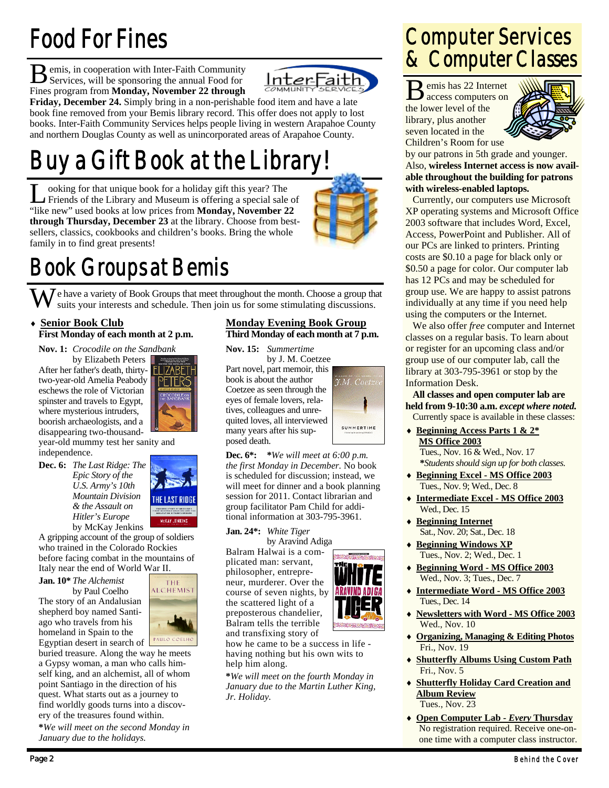# Food For Fines

**B** emis, in cooperation with Inter-Faith Community Services, will be sponsoring the annual Food for Fines program from **Monday, November 22 through** 



**Friday, December 24.** Simply bring in a non-perishable food item and have a late book fine removed from your Bemis library record. This offer does not apply to lost books. Inter-Faith Community Services helps people living in western Arapahoe County and northern Douglas County as well as unincorporated areas of Arapahoe County.

# Buy a Gift Book at the Library!

L ooking for that unique book for a holiday gift this year? The Friends of the Library and Museum is offering a special sale of "like new" used books at low prices from **Monday, November 22 through Thursday, December 23** at the library. Choose from bestsellers, classics, cookbooks and children's books. Bring the whole family in to find great presents!



## Book Groups at Bemis

 $\sum_{k=1}$  e have a variety of Book Groups that meet throughout the month. Choose a group that suits your interests and schedule. Then join us for some stimulating discussions.

#### **Senior Book Club First Monday of each month at 2 p.m.**

## **Nov. 1:** *Crocodile on the Sandbank*

by Elizabeth Peters After her father's death, thirty-**FHZABET** two-year-old Amelia Peabody eschews the role of Victorian spinster and travels to Egypt, where mysterious intruders, boorish archaeologists, and a disappearing two-thousand-



year-old mummy test her sanity and independence.

**Dec. 6:** *The Last Ridge: The Epic Story of the U.S. Army's 10th Mountain Division & the Assault on Hitler's Europe*  by McKay Jenkins



A gripping account of the group of soldiers who trained in the Colorado Rockies before facing combat in the mountains of Italy near the end of World War II.

**Jan. 10\*** *The Alchemist*  by Paul Coelho The story of an Andalusian shepherd boy named Santiago who travels from his homeland in Spain to the

THE **ALCHEMIST** PAULO COEL

Egyptian desert in search of buried treasure. Along the way he meets a Gypsy woman, a man who calls himself king, and an alchemist, all of whom point Santiago in the direction of his quest. What starts out as a journey to find worldly goods turns into a discovery of the treasures found within.

**\****We will meet on the second Monday in January due to the holidays.*

#### **Monday Evening Book Group Third Monday of each month at 7 p.m.**

**Nov. 15:** *Summertime*  by J. M. Coetzee Part novel, part memoir, this book is about the author Coetzee as seen through the eyes of female lovers, relatives, colleagues and unrequited loves, all interviewed many years after his supposed death.



ARAVIND ADIG

**Dec. 6\*: \****We will meet at 6:00 p.m. the first Monday in December.* No book is scheduled for discussion; instead, we will meet for dinner and a book planning session for 2011. Contact librarian and group facilitator Pam Child for additional information at 303-795-3961.

#### **Jan. 24\*:** *White Tiger*

by Aravind Adiga Balram Halwai is a complicated man: servant, philosopher, entrepreneur, murderer. Over the course of seven nights, by the scattered light of a preposterous chandelier, Balram tells the terrible and transfixing story of

how he came to be a success in life having nothing but his own wits to help him along.

**\****We will meet on the fourth Monday in January due to the Martin Luther King, Jr. Holiday.* 

## Computer Services & Computer Classes

B emis has 22 Internet access computers on the lower level of the library, plus another seven located in the Children's Room for use



by our patrons in 5th grade and younger. Also, **wireless Internet access is now available throughout the building for patrons with wireless-enabled laptops.**

 Currently, our computers use Microsoft XP operating systems and Microsoft Office 2003 software that includes Word, Excel, Access, PowerPoint and Publisher. All of our PCs are linked to printers. Printing costs are \$0.10 a page for black only or \$0.50 a page for color. Our computer lab has 12 PCs and may be scheduled for group use. We are happy to assist patrons individually at any time if you need help using the computers or the Internet.

 We also offer *free* computer and Internet classes on a regular basis. To learn about or register for an upcoming class and/or group use of our computer lab, call the library at 303-795-3961 or stop by the Information Desk.

**All classes and open computer lab are held from 9-10:30 a.m.** *except where noted.* Currently space is available in these classes:

 **Beginning Access Parts 1 & 2\* MS Office 2003**

 Tues., Nov. 16 & Wed., Nov. 17 **\****Students should sign up for both classes.* 

- **Beginning Excel MS Office 2003** Tues., Nov. 9; Wed., Dec. 8
- **Intermediate Excel MS Office 2003** Wed., Dec. 15
- **Beginning Internet** Sat., Nov. 20; Sat., Dec. 18
- **Beginning Windows XP** Tues., Nov. 2; Wed., Dec. 1
- **Beginning Word MS Office 2003** Wed., Nov. 3; Tues., Dec. 7
- **Intermediate Word MS Office 2003** Tues., Dec. 14
- **Newsletters with Word MS Office 2003** Wed., Nov. 10
- **Organizing, Managing & Editing Photos** Fri., Nov. 19
- **Shutterfly Albums Using Custom Path** Fri., Nov. 5
- **Shutterfly Holiday Card Creation and Album Review** Tues., Nov. 23
- **Open Computer Lab** *Every* **Thursday** No registration required. Receive one-onone time with a computer class instructor.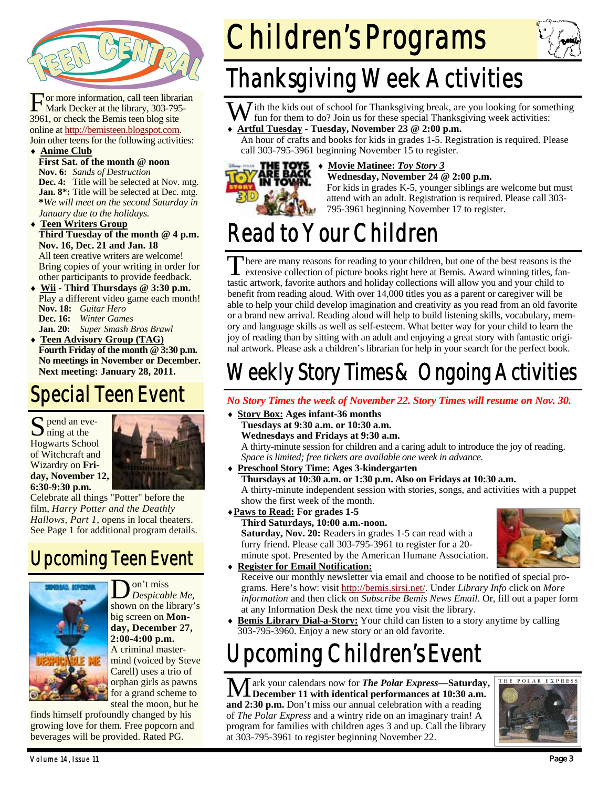

For more information, call teen librarian<br>Mark Decker at the library, 303-795-3961, or check the Bemis teen blog site online at http://bemisteen.blogspot.com. Join other teens for the following activities:

#### **Anime Club**

- **First Sat. of the month @ noon Nov. 6:** *Sands of Destruction* **Dec. 4:** Title will be selected at Nov. mtg. **Jan. 8\*:** Title will be selected at Dec. mtg. **\****We will meet on the second Saturday in January due to the holidays.*
- **Teen Writers Group Third Tuesday of the month @ 4 p.m. Nov. 16, Dec. 21 and Jan. 18**  All teen creative writers are welcome! Bring copies of your writing in order for other participants to provide feedback.
- **Wii Third Thursdays @ 3:30 p.m.**  Play a different video game each month! **Nov. 18:** *Guitar Hero*  **Dec. 16:** *Winter Games*

**Jan. 20:** *Super Smash Bros Brawl* 

 **Teen Advisory Group (TAG) Fourth Friday of the month @ 3:30 p.m. No meetings in November or December. Next meeting: January 28, 2011.** 

## Special Teen Event

S pend an eve-Hogwarts School of Witchcraft and Wizardry on **Friday, November 12, 6:30-9:30 p.m.** 



Celebrate all things "Potter" before the film, *Harry Potter and the Deathly Hallows, Part 1,* opens in local theaters. See Page 1 for additional program details.

## Upcoming Teen Event



D on't miss *Despicable Me,*  shown on the library's big screen on **Monday, December 27, 2:00-4:00 p.m.**  A criminal mastermind (voiced by Steve Carell) uses a trio of orphan girls as pawns for a grand scheme to steal the moon, but he

finds himself profoundly changed by his growing love for them. Free popcorn and beverages will be provided. Rated PG.



# Thanksgiving Week Activities

 $\overline{N}$  ith the kids out of school for Thanksgiving break, are you looking for something fun for them to do? Join us for these special Thanksgiving week activities:

**Artful Tuesday - Tuesday, November 23 @ 2:00 p.m.** 

An hour of crafts and books for kids in grades 1-5. Registration is required. Please call 303-795-3961 beginning November 15 to register.



#### **Movie Matinee:** *Toy Story 3*  **Wednesday, November 24 @ 2:00 p.m.**

For kids in grades K-5, younger siblings are welcome but must attend with an adult. Registration is required. Please call 303- 795-3961 beginning November 17 to register.

# Read to Your Children

There are many reasons for reading to your children, but one of the best reasons is the extensive collection of picture books right here at Bemis. Award winning titles, fantastic artwork, favorite authors and holiday collections will allow you and your child to benefit from reading aloud. With over 14,000 titles you as a parent or caregiver will be able to help your child develop imagination and creativity as you read from an old favorite or a brand new arrival. Reading aloud will help to build listening skills, vocabulary, memory and language skills as well as self-esteem. What better way for your child to learn the joy of reading than by sitting with an adult and enjoying a great story with fantastic original artwork. Please ask a children's librarian for help in your search for the perfect book.

## Weekly Story Times & Ongoing Activities

### *No Story Times the week of November 22. Story Times will resume on Nov. 30.*

- **Story Box: Ages infant-36 months Tuesdays at 9:30 a.m. or 10:30 a.m. Wednesdays and Fridays at 9:30 a.m.**  A thirty-minute session for children and a caring adult to introduce the joy of reading. *Space is limited; free tickets are available one week in advance.*
- **Preschool Story Time: Ages 3-kindergarten Thursdays at 10:30 a.m. or 1:30 p.m. Also on Fridays at 10:30 a.m.**  A thirty-minute independent session with stories, songs, and activities with a puppet show the first week of the month.

## **Paws to Read: For grades 1-5**

 **Third Saturdays, 10:00 a.m.-noon. Saturday, Nov. 20:** Readers in grades 1-5 can read with a furry friend. Please call 303-795-3961 to register for a 20 minute spot. Presented by the American Humane Association.

#### **Register for Email Notification:**



- Receive our monthly newsletter via email and choose to be notified of special programs. Here's how: visit http://bemis.sirsi.net/. Under *Library Info* click on *More information* and then click on *Subscribe Bemis News Email*. Or, fill out a paper form at any Information Desk the next time you visit the library.
- **Bemis Library Dial-a-Story:** Your child can listen to a story anytime by calling 303-795-3960. Enjoy a new story or an old favorite.

# Upcoming Children's Event

ark your calendars now for **The Polar Express-Saturday, December 11 with identical performances at 10:30 a.m. and 2:30 p.m.** Don't miss our annual celebration with a reading of *The Polar Express* and a wintry ride on an imaginary train! A program for families with children ages 3 and up. Call the library at 303-795-3961 to register beginning November 22.